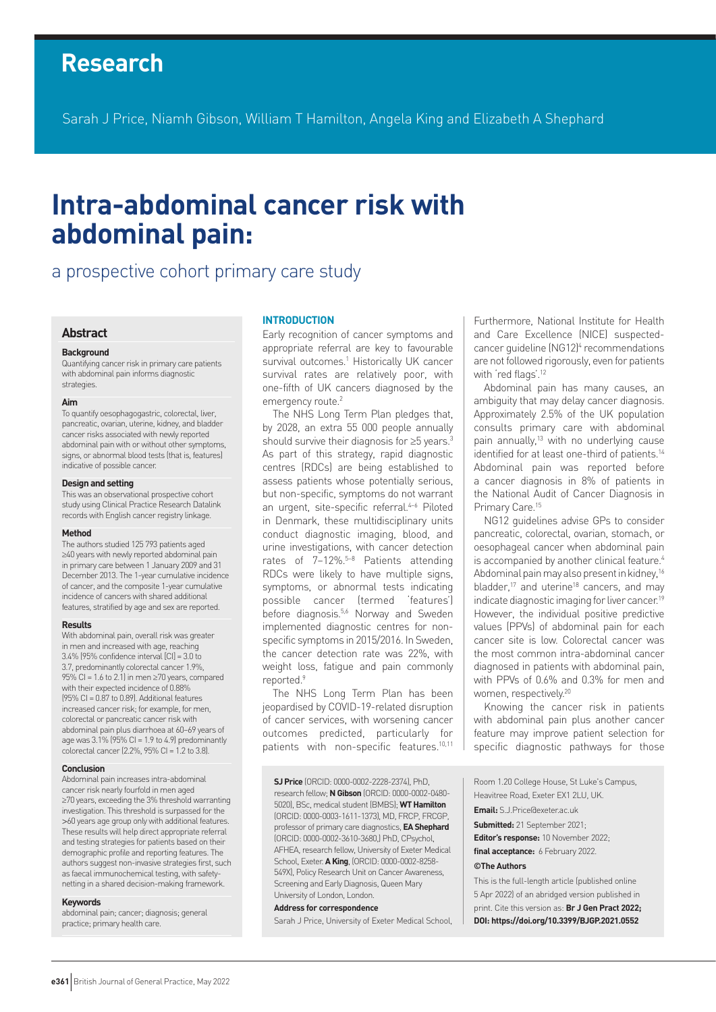# **Research**

Sarah J Price, Niamh Gibson, William T Hamilton, Angela King and Elizabeth A Shephard

# **Intra-abdominal cancer risk with abdominal pain:**

# a prospective cohort primary care study

#### **Abstract**

#### **Background**

Quantifying cancer risk in primary care patients with abdominal pain informs diagnostic strategies.

#### **Aim**

To quantify oesophagogastric, colorectal, liver, pancreatic, ovarian, uterine, kidney, and bladder cancer risks associated with newly reported abdominal pain with or without other symptoms, signs, or abnormal blood tests (that is, features) indicative of possible cancer.

#### **Design and setting**

This was an observational prospective cohort study using Clinical Practice Research Datalink records with English cancer registry linkage.

#### **Method**

The authors studied 125 793 patients aged ≥40 years with newly reported abdominal pain in primary care between 1 January 2009 and 31 December 2013. The 1-year cumulative incidence of cancer, and the composite 1-year cumulative incidence of cancers with shared additional features, stratified by age and sex are reported.

#### **Results**

With abdominal pain, overall risk was greater in men and increased with age, reaching 3.4% (95% confidence interval [CI] = 3.0 to 3.7, predominantly colorectal cancer 1.9%, 95% CI = 1.6 to 2.1) in men  $\geq$  70 years, compared with their expected incidence of 0.88% (95% CI =  $0.87$  to 0.89). Additional features increased cancer risk; for example, for men, colorectal or pancreatic cancer risk with abdominal pain plus diarrhoea at 60–69 years of age was  $3.1\%$  (95% CI = 1.9 to 4.9) predominantly colorectal cancer (2.2%, 95% CI = 1.2 to 3.8).

#### **Conclusion**

Abdominal pain increases intra-abdominal cancer risk nearly fourfold in men aged ≥70 years, exceeding the 3% threshold warranting investigation. This threshold is surpassed for the >60 years age group only with additional features. These results will help direct appropriate referral and testing strategies for patients based on their demographic profile and reporting features. The authors suggest non-invasive strategies first, such as faecal immunochemical testing, with safetynetting in a shared decision-making framework.

#### **Keywords**

abdominal pain; cancer; diagnosis; general practice; primary health care.

#### **INTRODUCTION**

Early recognition of cancer symptoms and appropriate referral are key to favourable survival outcomes.<sup>1</sup> Historically UK cancer survival rates are relatively poor, with one-fifth of UK cancers diagnosed by the emergency route.<sup>2</sup>

The NHS Long Term Plan pledges that, by 2028, an extra 55 000 people annually should survive their diagnosis for ≥5 years.3 As part of this strategy, rapid diagnostic centres (RDCs) are being established to assess patients whose potentially serious, but non-specific, symptoms do not warrant an urgent, site-specific referral.<sup>4-6</sup> Piloted in Denmark, these multidisciplinary units conduct diagnostic imaging, blood, and urine investigations, with cancer detection rates of 7–12%.5–8 Patients attending RDCs were likely to have multiple signs, symptoms, or abnormal tests indicating possible cancer (termed 'features') before diagnosis.<sup>5,6</sup> Norway and Sweden implemented diagnostic centres for nonspecific symptoms in 2015/2016. In Sweden, the cancer detection rate was 22%, with weight loss, fatigue and pain commonly reported.9

The NHS Long Term Plan has been jeopardised by COVID-19-related disruption of cancer services, with worsening cancer outcomes predicted, particularly for patients with non-specific features.<sup>10,11</sup>

**SJ Price** (ORCID: 0000-0002-2228-2374), PhD, research fellow; **N Gibson** (ORCID: 0000-0002-0480- 5020), BSc, medical student (BMBS); **WT Hamilton** (ORCID: 0000-0003-1611-1373), MD, FRCP, FRCGP, professor of primary care diagnostics, **EAShephard** (ORCID: 0000-0002-3610-3680,) PhD, CPsychol, AFHEA, research fellow, University of Exeter Medical School, Exeter. **A King**, (ORCID: 0000-0002-8258- 549X), Policy Research Unit on Cancer Awareness, Screening and Early Diagnosis, Queen Mary University of London, London.

#### **Address for correspondence**

Sarah J Price, University of Exeter Medical School,

Furthermore, National Institute for Health and Care Excellence (NICE) suspectedcancer guideline (NG12)<sup>4</sup> recommendations are not followed rigorously, even for patients with 'red flags'.<sup>12</sup>

Abdominal pain has many causes, an ambiguity that may delay cancer diagnosis. Approximately 2.5% of the UK population consults primary care with abdominal pain annually,13 with no underlying cause identified for at least one-third of patients.<sup>14</sup> Abdominal pain was reported before a cancer diagnosis in 8% of patients in the National Audit of Cancer Diagnosis in Primary Care.<sup>15</sup>

NG12 guidelines advise GPs to consider pancreatic, colorectal, ovarian, stomach, or oesophageal cancer when abdominal pain is accompanied by another clinical feature.<sup>4</sup> Abdominal pain may also present in kidney,16 bladder.<sup>17</sup> and uterine<sup>18</sup> cancers, and may indicate diagnostic imaging for liver cancer.19 However, the individual positive predictive values (PPVs) of abdominal pain for each cancer site is low. Colorectal cancer was the most common intra-abdominal cancer diagnosed in patients with abdominal pain, with PPVs of 0.6% and 0.3% for men and women, respectively.20

Knowing the cancer risk in patients with abdominal pain plus another cancer feature may improve patient selection for specific diagnostic pathways for those

Room 1.20 College House, St Luke's Campus, Heavitree Road, Exeter EX1 2LU, UK. **Email:** S.J.Price@exeter.ac.uk **Submitted:** 21 September 2021; **Editor's response:** 10 November 2022; **final acceptance:** 6 February 2022. **©The Authors** This is the full-length article (published online

5 Apr 2022) of an abridged version published in print. Cite this version as: **Br J Gen Pract 2022; DOI: https://doi.org/10.3399/BJGP.2021.0552**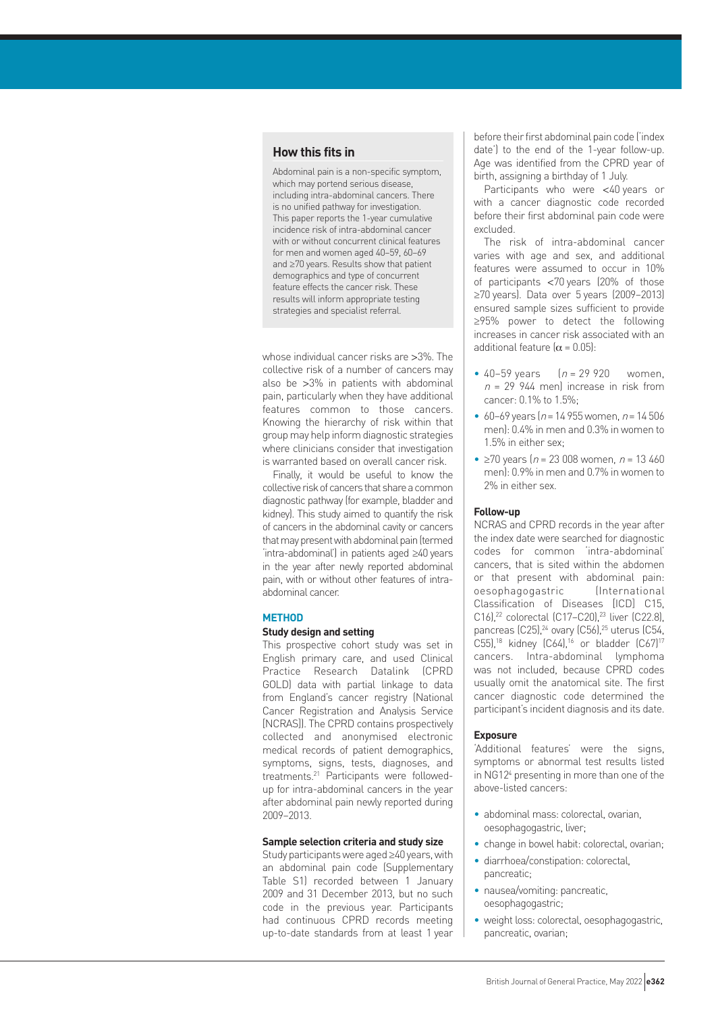# **How this fits in**

Abdominal pain is a non-specific symptom, which may portend serious disease, including intra-abdominal cancers. There is no unified pathway for investigation. This paper reports the 1-year cumulative incidence risk of intra-abdominal cancer with or without concurrent clinical features for men and women aged 40–59, 60–69 and ≥70 years. Results show that patient demographics and type of concurrent feature effects the cancer risk. These results will inform appropriate testing strategies and specialist referral.

whose individual cancer risks are >3%. The collective risk of a number of cancers may also be >3% in patients with abdominal pain, particularly when they have additional features common to those cancers. Knowing the hierarchy of risk within that group may help inform diagnostic strategies where clinicians consider that investigation is warranted based on overall cancer risk.

Finally, it would be useful to know the collective risk of cancers that share a common diagnostic pathway (for example, bladder and kidney). This study aimed to quantify the risk of cancers in the abdominal cavity or cancers that may present with abdominal pain (termed 'intra-abdominal') in patients aged ≥40 years in the year after newly reported abdominal pain, with or without other features of intraabdominal cancer.

#### **METHOD**

#### **Study design and setting**

This prospective cohort study was set in English primary care, and used Clinical Practice Research Datalink (CPRD GOLD) data with partial linkage to data from England's cancer registry (National Cancer Registration and Analysis Service [NCRAS]). The CPRD contains prospectively collected and anonymised electronic medical records of patient demographics, symptoms, signs, tests, diagnoses, and treatments.21 Participants were followedup for intra-abdominal cancers in the year after abdominal pain newly reported during 2009–2013.

#### **Sample selection criteria and study size**

Study participants were aged ≥40 years, with an abdominal pain code (Supplementary Table S1) recorded between 1 January 2009 and 31 December 2013, but no such code in the previous year. Participants had continuous CPRD records meeting up-to-date standards from at least 1 year before their first abdominal pain code ('index date') to the end of the 1-year follow-up. Age was identified from the CPRD year of birth, assigning a birthday of 1 July.

Participants who were <40 years or with a cancer diagnostic code recorded before their first abdominal pain code were excluded.

The risk of intra-abdominal cancer varies with age and sex, and additional features were assumed to occur in 10% of participants <70 years (20% of those ≥70 years). Data over 5 years (2009–2013) ensured sample sizes sufficient to provide ≥95% power to detect the following increases in cancer risk associated with an additional feature  $(\alpha = 0.05)$ :

- 40–59 years  $(n = 29920$  women,  $n = 29$  944 men) increase in risk from cancer: 0.1% to 1.5%;
- 60–69 years ( $n = 14955$  women,  $n = 14506$ men): 0.4% in men and 0.3% in women to 1.5% in either sex;
- $\geq 70$  years (n = 23 008 women, n = 13 460 men): 0.9% in men and 0.7% in women to 2% in either sex.

#### **Follow-up**

NCRAS and CPRD records in the year after the index date were searched for diagnostic codes for common 'intra-abdominal' cancers, that is sited within the abdomen or that present with abdominal pain: oesophagogastric (International Classification of Diseases [ICD] C15, C16),<sup>22</sup> colorectal (C17-C20),<sup>23</sup> liver (C22.8), pancreas (C25),<sup>24</sup> ovary (C56),<sup>25</sup> uterus (C54, C55),<sup>18</sup> kidney (C64),<sup>16</sup> or bladder (C67)<sup>17</sup> cancers. Intra-abdominal lymphoma was not included, because CPRD codes usually omit the anatomical site. The first cancer diagnostic code determined the participant's incident diagnosis and its date.

#### **Exposure**

'Additional features' were the signs, symptoms or abnormal test results listed in NG124 presenting in more than one of the above-listed cancers:

- abdominal mass: colorectal, ovarian, oesophagogastric, liver;
- change in bowel habit: colorectal, ovarian;
- diarrhoea/constipation: colorectal, pancreatic;
- nausea/vomiting: pancreatic. oesophagogastric;
- weight loss: colorectal, oesophagogastric, pancreatic, ovarian;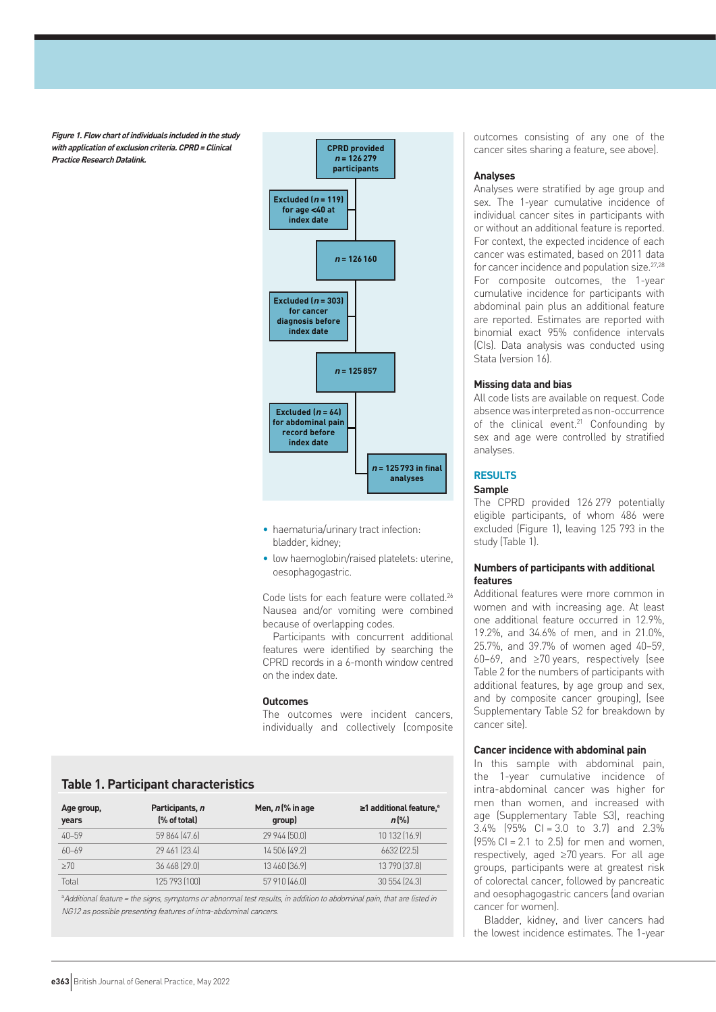**Figure 1. Flow chart of individuals included in the study with application of exclusion criteria. CPRD=Clinical Practice Research Datalink.** 



- haematuria/urinary tract infection: bladder, kidney;
- low haemoglobin/raised platelets: uterine, oesophagogastric.

Code lists for each feature were collated.<sup>26</sup> Nausea and/or vomiting were combined because of overlapping codes.

Participants with concurrent additional features were identified by searching the CPRD records in a 6-month window centred on the index date.

#### **Outcomes**

The outcomes were incident cancers, individually and collectively (composite

# **Table 1. Participant characteristics**

| Age group,<br>years | Participants, n<br>(% of total) | Men, $n$ (% in age<br>qroup) | $\geq$ 1 additional feature, <sup>a</sup><br>$n\frac{9}{6}$ |
|---------------------|---------------------------------|------------------------------|-------------------------------------------------------------|
| $40 - 59$           | 59 864 [47.6]                   | 29 944 [50.0]                | 10 132 (16.9)                                               |
| $60 - 69$           | 29 461 [23.4]                   | 14 506 (49.2)                | 6632 [22.5]                                                 |
| >70                 | 36 468 [29.0]                   | 13 460 [36.9]                | 13 790 [37.8]                                               |
| Total               | 125 793 [100]                   | 57 910 (46.0)                | 30 554 (24.3)                                               |

a Additional feature <sup>=</sup> the signs, symptoms or abnormal test results, in addition to abdominal pain, that are listed in NG12 as possible presenting features of intra-abdominal cancers.

outcomes consisting of any one of the cancer sites sharing a feature, see above).

#### **Analyses**

Analyses were stratified by age group and sex. The 1-year cumulative incidence of individual cancer sites in participants with or without an additional feature is reported. For context, the expected incidence of each cancer was estimated, based on 2011 data for cancer incidence and population size.<sup>27,28</sup> For composite outcomes, the 1-year cumulative incidence for participants with abdominal pain plus an additional feature are reported. Estimates are reported with binomial exact 95% confidence intervals (CIs). Data analysis was conducted using Stata (version 16).

#### **Missing data and bias**

All code lists are available on request. Code absence was interpreted as non-occurrence of the clinical event.<sup>21</sup> Confounding by sex and age were controlled by stratified analyses.

#### **RESULTS**

#### **Sample**

The CPRD provided 126 279 potentially eligible participants, of whom 486 were excluded (Figure 1), leaving 125 793 in the study (Table 1).

#### **Numbers of participants with additional features**

Additional features were more common in women and with increasing age. At least one additional feature occurred in 12.9%, 19.2%, and 34.6% of men, and in 21.0%, 25.7%, and 39.7% of women aged 40–59, 60–69, and ≥70 years, respectively (see Table 2 for the numbers of participants with additional features, by age group and sex, and by composite cancer grouping), (see Supplementary Table S2 for breakdown by cancer site).

#### **Cancer incidence with abdominal pain**

In this sample with abdominal pain, the 1-year cumulative incidence of intra-abdominal cancer was higher for men than women, and increased with age (Supplementary Table S3), reaching  $3.4\%$  (95% CI = 3.0 to 3.7) and 2.3%  $(95\% \text{ Cl} = 2.1 \text{ to } 2.5)$  for men and women. respectively, aged ≥70 years. For all age groups, participants were at greatest risk of colorectal cancer, followed by pancreatic and oesophagogastric cancers (and ovarian cancer for women).

Bladder, kidney, and liver cancers had the lowest incidence estimates. The 1-year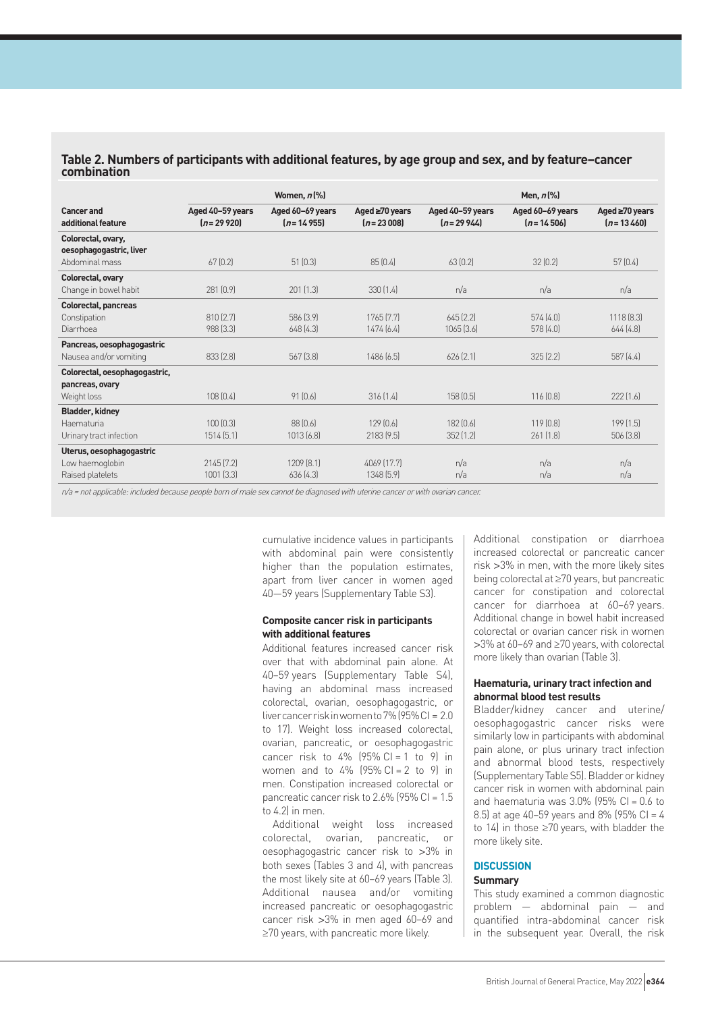### **Table 2. Numbers of participants with additional features, by age group and sex, and by feature–cancer combination**

|                               | Women, $n$ $%$   |                  |                      | Men, $n$ (%)     |                  |                      |  |
|-------------------------------|------------------|------------------|----------------------|------------------|------------------|----------------------|--|
| <b>Cancer and</b>             | Aged 40-59 years | Aged 60-69 years | Aged $\geq 70$ years | Aged 40-59 years | Aged 60-69 years | Aged $\geq 70$ years |  |
| additional feature            | $(n=29920)$      | $(n = 14955)$    | $[n=23008]$          | $(n=29944)$      | $(n = 14506)$    | $[n=13,460]$         |  |
| Colorectal, ovary,            |                  |                  |                      |                  |                  |                      |  |
| oesophagogastric, liver       |                  |                  |                      |                  |                  |                      |  |
| Abdominal mass                | 67(0.2)          | 51(0.3)          | 85(0.4)              | 63(0.2)          | 32(0.2)          | 57(0.4)              |  |
| Colorectal, ovary             |                  |                  |                      |                  |                  |                      |  |
| Change in bowel habit         | 281 (0.9)        | $201$ $(1.3)$    | 330(1.4)             | n/a              | n/a              | n/a                  |  |
| <b>Colorectal, pancreas</b>   |                  |                  |                      |                  |                  |                      |  |
| Constipation                  | 810(2.7)         | 586 [3.9]        | 1765 [7.7]           | $645$ $[2,2]$    | 574(4.0)         | 1118(8.3)            |  |
| Diarrhoea                     | 988 [3.3]        | 648[4.3]         | 1474(6.4)            | 1065(3.6)        | 578(4.0)         | 644[4.8]             |  |
| Pancreas, oesophagogastric    |                  |                  |                      |                  |                  |                      |  |
| Nausea and/or vomiting        | 833(2.8)         | 567(3.8)         | 1486(6.5)            | $626$ $(2.1)$    | 325(2.2)         | 587(4.4)             |  |
| Colorectal, oesophagogastric, |                  |                  |                      |                  |                  |                      |  |
| pancreas, ovary               |                  |                  |                      |                  |                  |                      |  |
| Weight loss                   | 108(0.4)         | 91(0.6)          | 316(1.4)             | 158(0.5)         | 116(0.8)         | 222[1.6]             |  |
| <b>Bladder, kidney</b>        |                  |                  |                      |                  |                  |                      |  |
| Haematuria                    | 100[0.3]         | 88 (0.6)         | 129(0.6)             | 182 [0.6]        | 119 [0.8]        | 199[1.5]             |  |
| Urinary tract infection       | 1514(5.1)        | 1013(6.8)        | 2183(9.5)            | 352(1.2)         | 261(1.8)         | 506(3.8)             |  |
| Uterus, oesophagogastric      |                  |                  |                      |                  |                  |                      |  |
| Low haemoglobin               | 2145(7.2)        | 1209 [8.1]       | 4069 [17.7]          | n/a              | n/a              | n/a                  |  |
| Raised platelets              | 1001 [3.3]       | 636(4.3)         | 1348 [5.9]           | n/a              | n/a              | n/a                  |  |
|                               |                  |                  |                      |                  |                  |                      |  |

n/a <sup>=</sup> not applicable: included because people born of male sex cannot be diagnosed with uterine cancer or with ovarian cancer.

cumulative incidence values in participants with abdominal pain were consistently higher than the population estimates, apart from liver cancer in women aged 40—59 years (Supplementary Table S3).

#### **Composite cancer risk in participants with additional features**

Additional features increased cancer risk over that with abdominal pain alone. At 40–59 years (Supplementary Table S4), having an abdominal mass increased colorectal, ovarian, oesophagogastric, or liver cancer risk in women to 7% (95% CI = 2.0 to 17). Weight loss increased colorectal, ovarian, pancreatic, or oesophagogastric cancer risk to  $4\%$  (95% CI = 1 to 9) in women and to  $4\%$  (95% CI = 2 to 9) in men. Constipation increased colorectal or pancreatic cancer risk to 2.6% (95% CI = 1.5 to 4.2) in men.

Additional weight loss increased colorectal, ovarian, pancreatic, or oesophagogastric cancer risk to >3% in both sexes (Tables 3 and 4), with pancreas the most likely site at 60–69 years (Table 3). Additional nausea and/or vomiting increased pancreatic or oesophagogastric cancer risk >3% in men aged 60–69 and ≥70 years, with pancreatic more likely.

Additional constipation or diarrhoea increased colorectal or pancreatic cancer risk >3% in men, with the more likely sites being colorectal at ≥70 years, but pancreatic cancer for constipation and colorectal cancer for diarrhoea at 60–69 years. Additional change in bowel habit increased colorectal or ovarian cancer risk in women >3% at 60–69 and ≥70 years, with colorectal more likely than ovarian (Table 3).

#### **Haematuria, urinary tract infection and abnormal blood test results**

Bladder/kidney cancer and uterine/ oesophagogastric cancer risks were similarly low in participants with abdominal pain alone, or plus urinary tract infection and abnormal blood tests, respectively (Supplementary Table S5). Bladder or kidney cancer risk in women with abdominal pain and haematuria was  $3.0\%$  (95% CI =  $0.6$  to 8.5) at age 40–59 years and 8% (95% CI = 4 to 14) in those ≥70 years, with bladder the more likely site.

#### **DISCUSSION Summary**

This study examined a common diagnostic problem — abdominal pain — and quantified intra-abdominal cancer risk in the subsequent year. Overall, the risk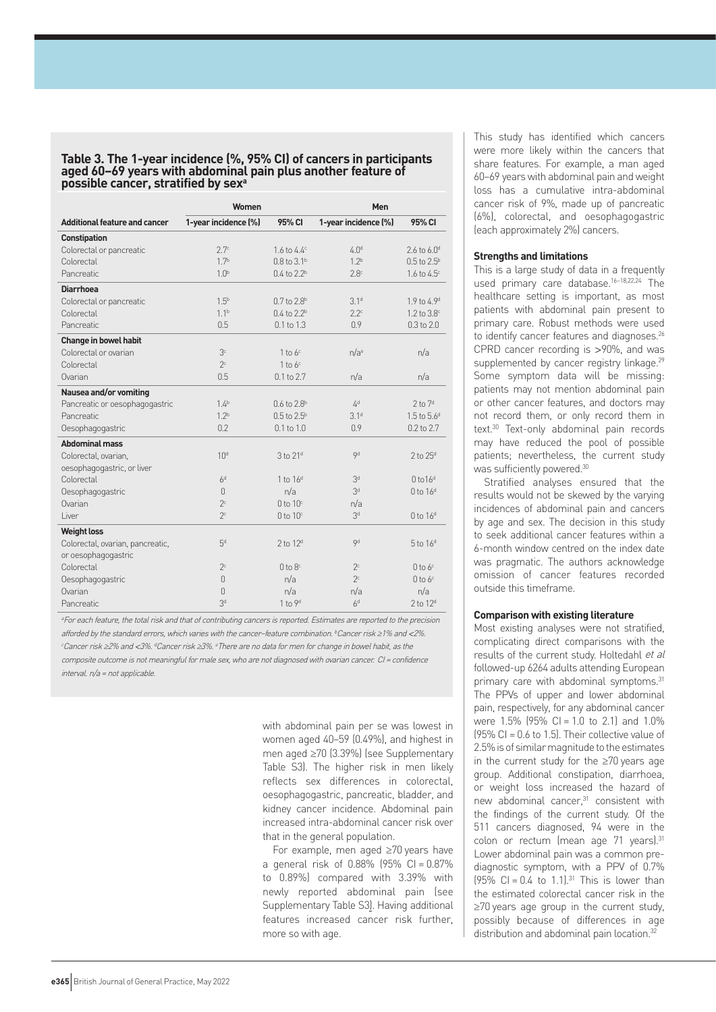#### **Table 3. The 1-year incidence (%, 95% CI) of cancers in participants aged 60–69 years with abdominal pain plus another feature of possible cancer, stratified by sexa**

|                                      | Women                |                                  | Men                  |                         |
|--------------------------------------|----------------------|----------------------------------|----------------------|-------------------------|
| <b>Additional feature and cancer</b> | 1-year incidence (%) | 95% CI                           | 1-year incidence (%) | 95% CI                  |
| <b>Constipation</b>                  |                      |                                  |                      |                         |
| Colorectal or pancreatic             | 2.7 <sup>c</sup>     | $1.6 \text{ to } 4.4^{\circ}$    | 4.0 <sup>d</sup>     | 2.6 to $6.0d$           |
| Colorectal                           | 1.7 <sup>b</sup>     | $0.8 \text{ to } 3.1^{\text{b}}$ | 1.2 <sup>b</sup>     | $0.5$ to $2.5^{\circ}$  |
| Pancreatic                           | 1.0 <sup>b</sup>     | $0.4 \text{ to } 2.2^{\text{b}}$ | 2.8 <sup>c</sup>     | 1.6 to 4.5 <sup>c</sup> |
| <b>Diarrhoea</b>                     |                      |                                  |                      |                         |
| Colorectal or pancreatic             | 1.5 <sup>b</sup>     | $0.7$ to $2.8^{\rm b}$           | 3.1 <sup>d</sup>     | 1.9 to 4.9 <sup>d</sup> |
| Colorectal                           | 1.1 <sup>b</sup>     | $0.4$ to $2.2b$                  | 2.2c                 | 1.2 to 3.8 <sup>c</sup> |
| Pancreatic                           | 0.5                  | 0.1 to 1.3                       | 0.9                  | $0.3$ to $2.0$          |
| <b>Change in bowel habit</b>         |                      |                                  |                      |                         |
| Colorectal or ovarian                | 3 <sup>c</sup>       | 1 to $6c$                        | n/a <sup>e</sup>     | n/a                     |
| Colorectal                           | 2c                   | $1$ to $6c$                      |                      |                         |
| Ovarian                              | 0.5                  | $0.1$ to $2.7$                   | n/a                  | n/a                     |
| Nausea and/or vomiting               |                      |                                  |                      |                         |
| Pancreatic or oesophagogastric       | $1.4^{b}$            | $0.6$ to $2.8b$                  | 4 <sup>d</sup>       | $2$ to $7d$             |
| Pancreatic                           | 1.2 <sup>b</sup>     | $0.5$ to $2.5^{\rm b}$           | 3.1 <sup>d</sup>     | 1.5 to 5.6 <sup>d</sup> |
| Oesophagogastric                     | 0.2                  | $0.1$ to $1.0$                   | 0.9                  | 0.2 to 2.7              |
| <b>Abdominal mass</b>                |                      |                                  |                      |                         |
| Colorectal, ovarian,                 | 10 <sup>d</sup>      | $3$ to $21d$                     | Qd                   | $2$ to $25d$            |
| oesophagogastric, or liver           |                      |                                  |                      |                         |
| Colorectal                           | 6 <sup>d</sup>       | 1 to $16d$                       | 3 <sup>d</sup>       | 0 to 16 <sup>d</sup>    |
| Oesophagogastric                     | $\cap$               | n/a                              | 3 <sup>d</sup>       | $0$ to $16d$            |
| Ovarian                              | 2c                   | $0$ to $10c$                     | n/a                  |                         |
| Liver                                | 2c                   | $0$ to $10c$                     | 3 <sup>d</sup>       | $0$ to $16d$            |
| <b>Weight loss</b>                   |                      |                                  |                      |                         |
| Colorectal, ovarian, pancreatic,     | 5 <sup>d</sup>       | $2$ to $12d$                     | Qd                   | $5$ to $16d$            |
| or oesophagogastric                  |                      |                                  |                      |                         |
| Colorectal                           | 2c                   | $0$ to $8c$                      | 2 <sup>c</sup>       | $0$ to $6c$             |
| Oesophagogastric                     | $\Omega$             | n/a                              | 2 <sup>c</sup>       | $0$ to $6^{\circ}$      |
| Ovarian                              | $\cap$               | n/a                              | n/a                  | n/a                     |
| <b>Pancreatic</b>                    | 3 <sup>d</sup>       | 1 to 9 <sup>d</sup>              | 6 <sup>d</sup>       | 2 to 12 <sup>d</sup>    |

<sup>a</sup>For each feature, the total risk and that of contributing cancers is reported. Estimates are reported to the precision afforded by the standard errors, which varies with the cancer-feature combination. bCancer risk ≥1% and <2%. <sup>c</sup>Cancer risk ≥2% and <3%. <sup>d</sup>Cancer risk ≥3%. eThere are no data for men for change in bowel habit, as the composite outcome is not meaningful for male sex, who are not diagnosed with ovarian cancer. CI <sup>=</sup> confidence  $interval$ .  $n/a = not$  applicable.

> with abdominal pain per se was lowest in women aged 40–59 (0.49%), and highest in men aged ≥70 (3.39%) (see Supplementary Table S3). The higher risk in men likely reflects sex differences in colorectal, oesophagogastric, pancreatic, bladder, and kidney cancer incidence. Abdominal pain increased intra-abdominal cancer risk over that in the general population.

> For example, men aged ≥70 years have a general risk of  $0.88\%$  (95% CI =  $0.87\%$ to 0.89%) compared with 3.39% with newly reported abdominal pain (see Supplementary Table S3). Having additional features increased cancer risk further, more so with age.

This study has identified which cancers were more likely within the cancers that share features. For example, a man aged 60–69 years with abdominal pain and weight loss has a cumulative intra-abdominal cancer risk of 9%, made up of pancreatic (6%), colorectal, and oesophagogastric (each approximately 2%) cancers.

#### **Strengths and limitations**

This is a large study of data in a frequently used primary care database.16–18,22,24 The healthcare setting is important, as most patients with abdominal pain present to primary care. Robust methods were used to identify cancer features and diagnoses.<sup>26</sup> CPRD cancer recording is >90%, and was supplemented by cancer registry linkage.<sup>29</sup> Some symptom data will be missing: patients may not mention abdominal pain or other cancer features, and doctors may not record them, or only record them in text.30 Text-only abdominal pain records may have reduced the pool of possible patients; nevertheless, the current study was sufficiently powered.30

Stratified analyses ensured that the results would not be skewed by the varying incidences of abdominal pain and cancers by age and sex. The decision in this study to seek additional cancer features within a 6-month window centred on the index date was pragmatic. The authors acknowledge omission of cancer features recorded outside this timeframe.

#### **Comparison with existing literature**

Most existing analyses were not stratified, complicating direct comparisons with the results of the current study. Holtedahl et al followed-up 6264 adults attending European primary care with abdominal symptoms.<sup>31</sup> The PPVs of upper and lower abdominal pain, respectively, for any abdominal cancer were 1.5% (95% CI = 1.0 to 2.1) and 1.0%  $(95\% \text{ Cl} = 0.6 \text{ to } 1.5)$ . Their collective value of 2.5% is of similar magnitude to the estimates in the current study for the ≥70 years age group. Additional constipation, diarrhoea, or weight loss increased the hazard of new abdominal cancer,<sup>31</sup> consistent with the findings of the current study. Of the 511 cancers diagnosed, 94 were in the colon or rectum (mean age 71 years).<sup>31</sup> Lower abdominal pain was a common prediagnostic symptom, with a PPV of 0.7%  $(95\% \text{ Cl} = 0.4 \text{ to } 1.1).^{31}$  This is lower than the estimated colorectal cancer risk in the ≥70 years age group in the current study, possibly because of differences in age distribution and abdominal pain location.<sup>32</sup>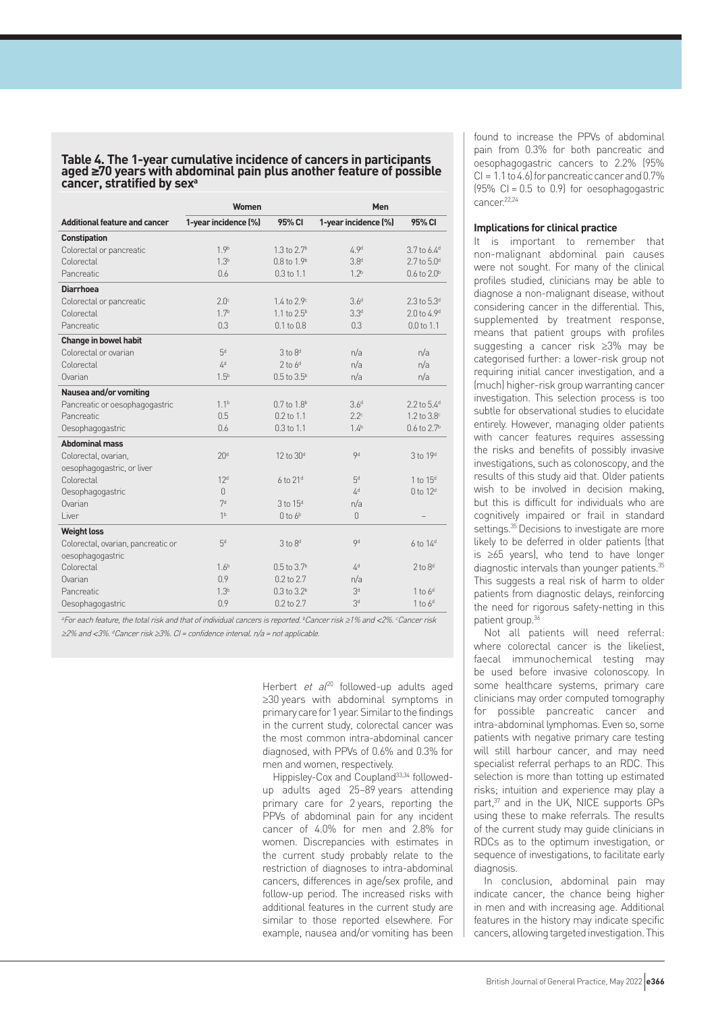**Table 4. The 1-year cumulative incidence of cancers in participants aged ≥70 years with abdominal pain plus another feature of possible cancer, stratified by sexa**

|                                      | Women                |                                  | Men                  |                                  |  |
|--------------------------------------|----------------------|----------------------------------|----------------------|----------------------------------|--|
| <b>Additional feature and cancer</b> | 1-year incidence (%) | 95% CI                           | 1-year incidence (%) | 95% CI                           |  |
| <b>Constipation</b>                  |                      |                                  |                      |                                  |  |
| Colorectal or pancreatic             | 1.9 <sup>b</sup>     | $1.3$ to $2.7b$                  | 4.9 <sup>d</sup>     | 3.7 to 6.4 <sup>d</sup>          |  |
| Colorectal                           | 1.3 <sup>b</sup>     | $0.8 \text{ to } 1.9^{\text{b}}$ | 3.8 <sup>d</sup>     | $2.7$ to $5.0d$                  |  |
| Pancreatic                           | 0.6                  | $0.3$ to $1.1$                   | 1.2 <sup>b</sup>     | $0.6$ to $2.0^{\rm b}$           |  |
| <b>Diarrhoea</b>                     |                      |                                  |                      |                                  |  |
| Colorectal or pancreatic             | 2.0 <sup>c</sup>     | $1.4 \text{ to } 2.9^{\circ}$    | 3.6 <sup>d</sup>     | 2.3 to 5.3 <sup>d</sup>          |  |
| Colorectal                           | 1.7 <sup>b</sup>     | $1.1 \text{ to } 2.5^{\text{b}}$ | 3.3 <sup>d</sup>     | $2.0 \text{ to } 4.9^{\text{d}}$ |  |
| Pancreatic                           | 0.3                  | $0.1$ to $0.8$                   | 0.3                  | $0.0$ to $1.1$                   |  |
| <b>Change in bowel habit</b>         |                      |                                  |                      |                                  |  |
| Colorectal or ovarian                | 5 <sup>d</sup>       | $3$ to $8d$                      | n/a                  | n/a                              |  |
| Colorectal                           | $\Delta^d$           | $2$ to $6d$                      | n/a                  | n/a                              |  |
| Ovarian                              | $1.5^{b}$            | $0.5$ to $3.5^{\rm b}$           | n/a                  | n/a                              |  |
| Nausea and/or vomiting               |                      |                                  |                      |                                  |  |
| Pancreatic or oesophagogastric       | 1.1 <sup>b</sup>     | $0.7$ to $1.8^{\rm b}$           | 3.6 <sup>d</sup>     | 2.2 to 5.4 <sup>d</sup>          |  |
| Pancreatic                           | 0.5                  | $0.2$ to $1.1$                   | 2.2 <sup>c</sup>     | 1.2 to $3.8^\circ$               |  |
| Oesophagogastric                     | 0.6                  | $0.3$ to $1.1$                   | 1.4 <sup>b</sup>     | $0.6$ to $2.7b$                  |  |
| <b>Abdominal mass</b>                |                      |                                  |                      |                                  |  |
| Colorectal, ovarian,                 | 20 <sup>d</sup>      | 12 to 30 <sup>d</sup>            | <b>9d</b>            | 3 to 19 <sup>d</sup>             |  |
| oesophagogastric, or liver           |                      |                                  |                      |                                  |  |
| Colorectal                           | 12 <sup>d</sup>      | $6$ to $21d$                     | 5 <sup>d</sup>       | 1 to 15 <sup>d</sup>             |  |
| Oesophagogastric                     | $\cap$               |                                  | 4 <sup>d</sup>       | $0$ to $12d$                     |  |
| Ovarian                              | 7d                   | $3$ to $15d$                     | n/a                  |                                  |  |
| Liver                                | 1 <sub>b</sub>       | $0$ to $6b$                      | $\Omega$             |                                  |  |
| <b>Weight loss</b>                   |                      |                                  |                      |                                  |  |
| Colorectal, ovarian, pancreatic or   | 5 <sup>d</sup>       | 3 to 8 <sup>d</sup>              | <b>9d</b>            | $6$ to $14d$                     |  |
| oesophagogastric                     |                      |                                  |                      |                                  |  |
| Colorectal                           | 1.6 <sup>b</sup>     | $0.5$ to $3.7^{\rm b}$           | $\Delta^d$           | $2$ to $8d$                      |  |
| Ovarian                              | 0.9                  | 0.2 to 2.7                       | n/a                  |                                  |  |
| Pancreatic                           | 1.3 <sup>b</sup>     | $0.3$ to $3.2^b$                 | 3 <sup>d</sup>       | $1$ to $6d$                      |  |
| Oesophagogastric                     | 0.9                  | 0.2 to 2.7                       | 3 <sup>d</sup>       | $1$ to $6d$                      |  |

aFor each feature, the total risk and that of individual cancers is reported. bCancer risk ≥1% and <2%. Cancer risk ≥2% and <3%. dCancer risk ≥3%. CI = confidence interval. n/a = not applicable.

> Herbert et  $a^{20}$  followed-up adults aged ≥30 years with abdominal symptoms in primary care for 1 year. Similar to the findings in the current study, colorectal cancer was the most common intra-abdominal cancer diagnosed, with PPVs of 0.6% and 0.3% for men and women, respectively.

> Hippisley-Cox and Coupland33,34 followedup adults aged 25–89 years attending primary care for 2 years, reporting the PPVs of abdominal pain for any incident cancer of 4.0% for men and 2.8% for women. Discrepancies with estimates in the current study probably relate to the restriction of diagnoses to intra-abdominal cancers, differences in age/sex profile, and follow-up period. The increased risks with additional features in the current study are similar to those reported elsewhere. For example, nausea and/or vomiting has been

found to increase the PPVs of abdominal pain from 0.3% for both pancreatic and oesophagogastric cancers to 2.2% (95%  $Cl = 1.1$  to 4.6) for pancreatic cancer and 0.7%  $(95\% \text{ Cl} = 0.5 \text{ to } 0.9)$  for oesophagogastric cancer. 22,24

#### **Implications for clinical practice**

It is important to remember that non-malignant abdominal pain causes were not sought. For many of the clinical profiles studied, clinicians may be able to diagnose a non-malignant disease, without considering cancer in the differential. This, supplemented by treatment response, means that patient groups with profiles suggesting a cancer risk ≥3% may be categorised further: a lower-risk group not requiring initial cancer investigation, and a (much) higher-risk group warranting cancer investigation. This selection process is too subtle for observational studies to elucidate entirely. However, managing older patients with cancer features requires assessing the risks and benefits of possibly invasive investigations, such as colonoscopy, and the results of this study aid that. Older patients wish to be involved in decision making, but this is difficult for individuals who are cognitively impaired or frail in standard settings.<sup>35</sup> Decisions to investigate are more likely to be deferred in older patients (that is ≥65 years), who tend to have longer diagnostic intervals than younger patients.<sup>35</sup> This suggests a real risk of harm to older patients from diagnostic delays, reinforcing the need for rigorous safety-netting in this patient group.<sup>36</sup>

Not all patients will need referral: where colorectal cancer is the likeliest, faecal immunochemical testing may be used before invasive colonoscopy. In some healthcare systems, primary care clinicians may order computed tomography for possible pancreatic cancer and intra-abdominal lymphomas.Even so, some patients with negative primary care testing will still harbour cancer, and may need specialist referral perhaps to an RDC. This selection is more than totting up estimated risks; intuition and experience may play a part,<sup>37</sup> and in the UK, NICE supports GPs using these to make referrals. The results of the current study may guide clinicians in RDCs as to the optimum investigation, or sequence of investigations, to facilitate early diagnosis.

In conclusion, abdominal pain may indicate cancer, the chance being higher in men and with increasing age. Additional features in the history may indicate specific cancers, allowing targeted investigation. This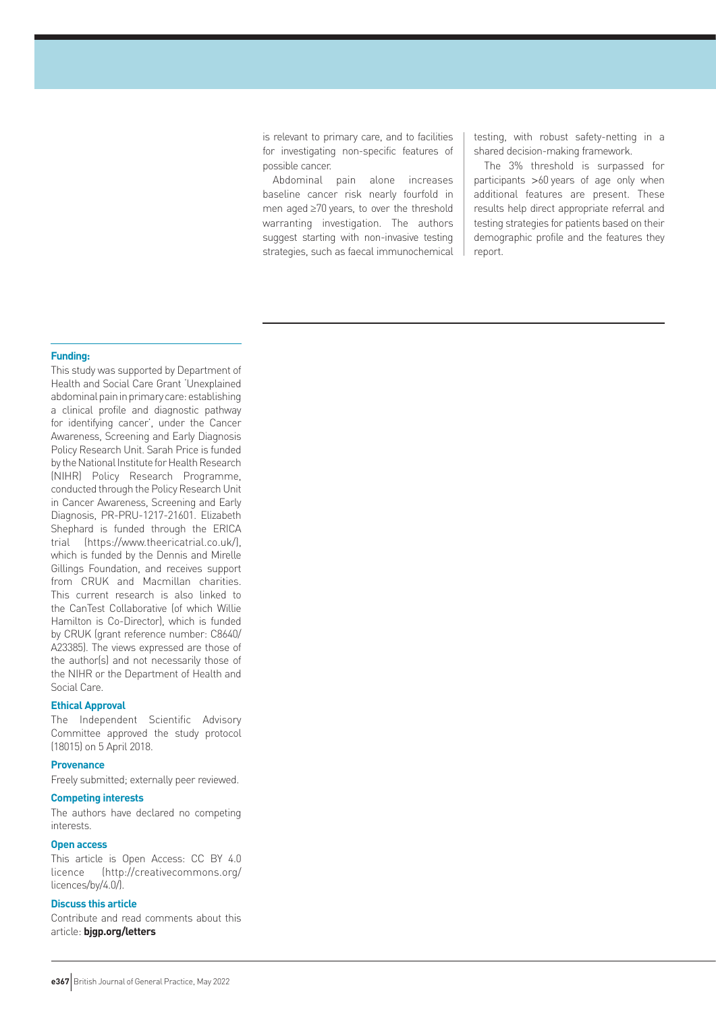is relevant to primary care, and to facilities for investigating non-specific features of possible cancer.

Abdominal pain alone increases baseline cancer risk nearly fourfold in men aged ≥70 years, to over the threshold warranting investigation. The authors suggest starting with non-invasive testing strategies, such as faecal immunochemical testing, with robust safety-netting in a shared decision-making framework.

The 3% threshold is surpassed for participants >60 years of age only when additional features are present. These results help direct appropriate referral and testing strategies for patients based on their demographic profile and the features they report.

#### **Funding:**

This study was supported by Department of Health and Social Care Grant 'Unexplained abdominal pain in primary care: establishing a clinical profile and diagnostic pathway for identifying cancer', under the Cancer Awareness, Screening and Early Diagnosis Policy Research Unit. Sarah Price is funded by the National Institute for Health Research (NIHR) Policy Research Programme, conducted through the Policy Research Unit in Cancer Awareness, Screening and Early Diagnosis, PR-PRU-1217-21601. Elizabeth Shephard is funded through the ERICA trial (https://www.theericatrial.co.uk/), which is funded by the Dennis and Mirelle Gillings Foundation, and receives support from CRUK and Macmillan charities. This current research is also linked to the CanTest Collaborative (of which Willie Hamilton is Co-Director), which is funded by CRUK (grant reference number: C8640/ A23385). The views expressed are those of the author(s) and not necessarily those of the NIHR or the Department of Health and Social Care.

#### **Ethical Approval**

The Independent Scientific Advisory Committee approved the study protocol (18015) on 5 April 2018.

#### **Provenance**

Freely submitted; externally peer reviewed.

### **Competing interests**

The authors have declared no competing interests.

#### **Open access**

This article is Open Access: CC BY 4.0 licence (http://creativecommons.org/ licences/by/4.0/).

# **Discuss this article**

Contribute and read comments about this article: **bjgp.org/letters**